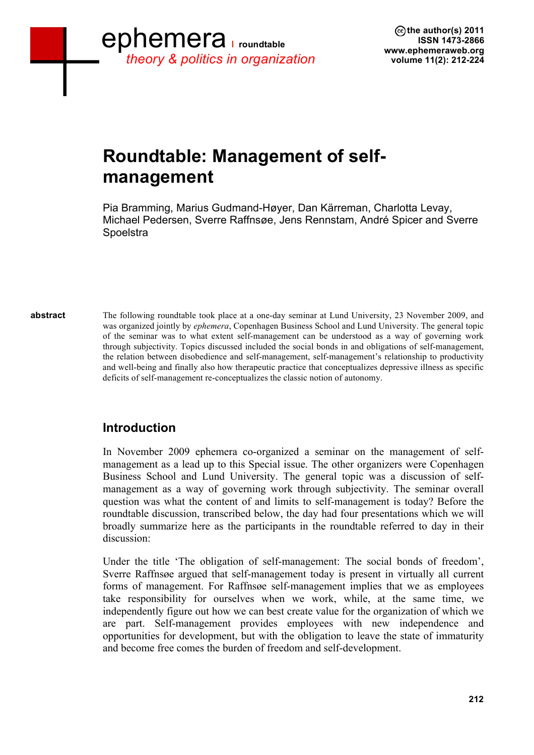## **Roundtable: Management of selfmanagement**

Pia Bramming, Marius Gudmand-Høyer, Dan Kärreman, Charlotta Levay, Michael Pedersen, Sverre Raffnsøe, Jens Rennstam, André Spicer and Sverre **Spoelstra** 

The following roundtable took place at a one-day seminar at Lund University, 23 November 2009, and was organized jointly by *ephemera*, Copenhagen Business School and Lund University. The general topic of the seminar was to what extent self-management can be understood as a way of governing work through subjectivity. Topics discussed included the social bonds in and obligations of self-management, the relation between disobedience and self-management, self-management's relationship to productivity and well-being and finally also how therapeutic practice that conceptualizes depressive illness as specific deficits of self-management re-conceptualizes the classic notion of autonomy. **abstract**

## **Introduction**

In November 2009 ephemera co-organized a seminar on the management of selfmanagement as a lead up to this Special issue. The other organizers were Copenhagen Business School and Lund University. The general topic was a discussion of selfmanagement as a way of governing work through subjectivity. The seminar overall question was what the content of and limits to self-management is today? Before the roundtable discussion, transcribed below, the day had four presentations which we will broadly summarize here as the participants in the roundtable referred to day in their discussion:

Under the title 'The obligation of self-management: The social bonds of freedom', Sverre Raffnsøe argued that self-management today is present in virtually all current forms of management. For Raffnsøe self-management implies that we as employees take responsibility for ourselves when we work, while, at the same time, we independently figure out how we can best create value for the organization of which we are part. Self-management provides employees with new independence and opportunities for development, but with the obligation to leave the state of immaturity and become free comes the burden of freedom and self-development.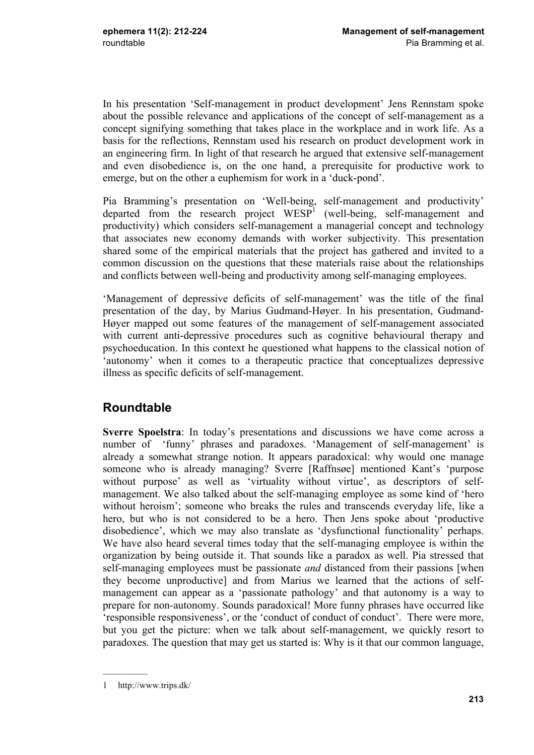In his presentation 'Self-management in product development' Jens Rennstam spoke about the possible relevance and applications of the concept of self-management as a concept signifying something that takes place in the workplace and in work life. As a basis for the reflections, Rennstam used his research on product development work in an engineering firm. In light of that research he argued that extensive self-management and even disobedience is, on the one hand, a prerequisite for productive work to emerge, but on the other a euphemism for work in a 'duck-pond'.

Pia Bramming's presentation on 'Well-being, self-management and productivity' departed from the research project  $WESP<sup>1</sup>$  (well-being, self-management and productivity) which considers self-management a managerial concept and technology that associates new economy demands with worker subjectivity. This presentation shared some of the empirical materials that the project has gathered and invited to a common discussion on the questions that these materials raise about the relationships and conflicts between well-being and productivity among self-managing employees.

'Management of depressive deficits of self-management' was the title of the final presentation of the day, by Marius Gudmand-Høyer. In his presentation, Gudmand-Høyer mapped out some features of the management of self-management associated with current anti-depressive procedures such as cognitive behavioural therapy and psychoeducation. In this context he questioned what happens to the classical notion of 'autonomy' when it comes to a therapeutic practice that conceptualizes depressive illness as specific deficits of self-management.

## **Roundtable**

**Sverre Spoelstra**: In today's presentations and discussions we have come across a number of 'funny' phrases and paradoxes. 'Management of self-management' is already a somewhat strange notion. It appears paradoxical: why would one manage someone who is already managing? Sverre [Raffnsøe] mentioned Kant's 'purpose without purpose' as well as 'virtuality without virtue', as descriptors of selfmanagement. We also talked about the self-managing employee as some kind of 'hero without heroism'; someone who breaks the rules and transcends everyday life, like a hero, but who is not considered to be a hero. Then Jens spoke about 'productive disobedience', which we may also translate as 'dysfunctional functionality' perhaps. We have also heard several times today that the self-managing employee is within the organization by being outside it. That sounds like a paradox as well. Pia stressed that self-managing employees must be passionate *and* distanced from their passions [when they become unproductive] and from Marius we learned that the actions of selfmanagement can appear as a 'passionate pathology' and that autonomy is a way to prepare for non-autonomy. Sounds paradoxical! More funny phrases have occurred like 'responsible responsiveness', or the 'conduct of conduct of conduct'. There were more, but you get the picture: when we talk about self-management, we quickly resort to paradoxes. The question that may get us started is: Why is it that our common language,

 $\frac{1}{2}$ 

<sup>1</sup> http://www.trips.dk/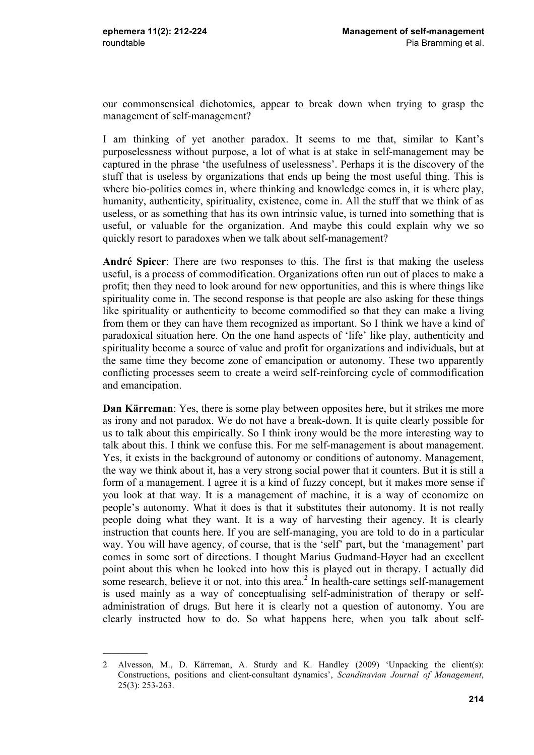our commonsensical dichotomies, appear to break down when trying to grasp the management of self-management?

I am thinking of yet another paradox. It seems to me that, similar to Kant's purposelessness without purpose, a lot of what is at stake in self-management may be captured in the phrase 'the usefulness of uselessness'. Perhaps it is the discovery of the stuff that is useless by organizations that ends up being the most useful thing. This is where bio-politics comes in, where thinking and knowledge comes in, it is where play, humanity, authenticity, spirituality, existence, come in. All the stuff that we think of as useless, or as something that has its own intrinsic value, is turned into something that is useful, or valuable for the organization. And maybe this could explain why we so quickly resort to paradoxes when we talk about self-management?

**André Spicer**: There are two responses to this. The first is that making the useless useful, is a process of commodification. Organizations often run out of places to make a profit; then they need to look around for new opportunities, and this is where things like spirituality come in. The second response is that people are also asking for these things like spirituality or authenticity to become commodified so that they can make a living from them or they can have them recognized as important. So I think we have a kind of paradoxical situation here. On the one hand aspects of 'life' like play, authenticity and spirituality become a source of value and profit for organizations and individuals, but at the same time they become zone of emancipation or autonomy. These two apparently conflicting processes seem to create a weird self-reinforcing cycle of commodification and emancipation.

**Dan Kärreman**: Yes, there is some play between opposites here, but it strikes me more as irony and not paradox. We do not have a break-down. It is quite clearly possible for us to talk about this empirically. So I think irony would be the more interesting way to talk about this. I think we confuse this. For me self-management is about management. Yes, it exists in the background of autonomy or conditions of autonomy. Management, the way we think about it, has a very strong social power that it counters. But it is still a form of a management. I agree it is a kind of fuzzy concept, but it makes more sense if you look at that way. It is a management of machine, it is a way of economize on people's autonomy. What it does is that it substitutes their autonomy. It is not really people doing what they want. It is a way of harvesting their agency. It is clearly instruction that counts here. If you are self-managing, you are told to do in a particular way. You will have agency, of course, that is the 'self' part, but the 'management' part comes in some sort of directions. I thought Marius Gudmand-Høyer had an excellent point about this when he looked into how this is played out in therapy. I actually did some research, believe it or not, into this area.<sup>2</sup> In health-care settings self-management is used mainly as a way of conceptualising self-administration of therapy or selfadministration of drugs. But here it is clearly not a question of autonomy. You are clearly instructed how to do. So what happens here, when you talk about self-

<sup>2</sup> Alvesson, M., D. Kärreman, A. Sturdy and K. Handley (2009) 'Unpacking the client(s): Constructions, positions and client-consultant dynamics', *Scandinavian Journal of Management*, 25(3): 253-263.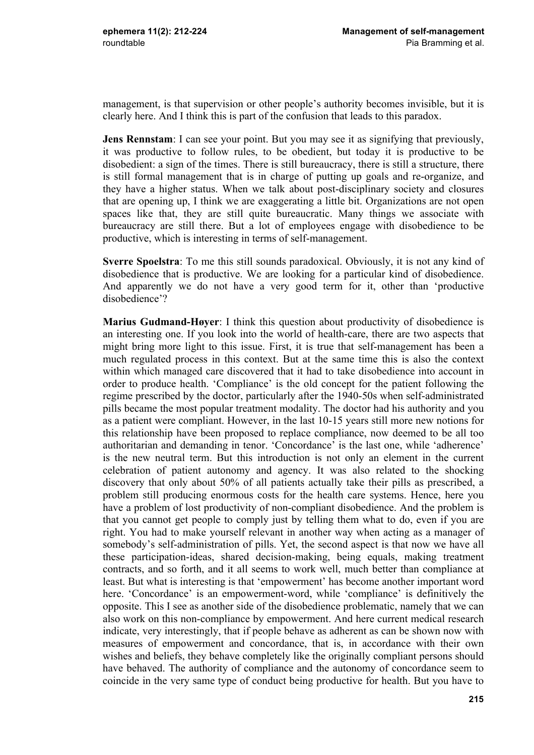management, is that supervision or other people's authority becomes invisible, but it is clearly here. And I think this is part of the confusion that leads to this paradox.

**Jens Rennstam**: I can see your point. But you may see it as signifying that previously, it was productive to follow rules, to be obedient, but today it is productive to be disobedient: a sign of the times. There is still bureaucracy, there is still a structure, there is still formal management that is in charge of putting up goals and re-organize, and they have a higher status. When we talk about post-disciplinary society and closures that are opening up, I think we are exaggerating a little bit. Organizations are not open spaces like that, they are still quite bureaucratic. Many things we associate with bureaucracy are still there. But a lot of employees engage with disobedience to be productive, which is interesting in terms of self-management.

**Sverre Spoelstra**: To me this still sounds paradoxical. Obviously, it is not any kind of disobedience that is productive. We are looking for a particular kind of disobedience. And apparently we do not have a very good term for it, other than 'productive disobedience'?

**Marius Gudmand-Høyer**: I think this question about productivity of disobedience is an interesting one. If you look into the world of health-care, there are two aspects that might bring more light to this issue. First, it is true that self-management has been a much regulated process in this context. But at the same time this is also the context within which managed care discovered that it had to take disobedience into account in order to produce health. 'Compliance' is the old concept for the patient following the regime prescribed by the doctor, particularly after the 1940-50s when self-administrated pills became the most popular treatment modality. The doctor had his authority and you as a patient were compliant. However, in the last 10-15 years still more new notions for this relationship have been proposed to replace compliance, now deemed to be all too authoritarian and demanding in tenor. 'Concordance' is the last one, while 'adherence' is the new neutral term. But this introduction is not only an element in the current celebration of patient autonomy and agency. It was also related to the shocking discovery that only about 50% of all patients actually take their pills as prescribed, a problem still producing enormous costs for the health care systems. Hence, here you have a problem of lost productivity of non-compliant disobedience. And the problem is that you cannot get people to comply just by telling them what to do, even if you are right. You had to make yourself relevant in another way when acting as a manager of somebody's self-administration of pills. Yet, the second aspect is that now we have all these participation-ideas, shared decision-making, being equals, making treatment contracts, and so forth, and it all seems to work well, much better than compliance at least. But what is interesting is that 'empowerment' has become another important word here. 'Concordance' is an empowerment-word, while 'compliance' is definitively the opposite. This I see as another side of the disobedience problematic, namely that we can also work on this non-compliance by empowerment. And here current medical research indicate, very interestingly, that if people behave as adherent as can be shown now with measures of empowerment and concordance, that is, in accordance with their own wishes and beliefs, they behave completely like the originally compliant persons should have behaved. The authority of compliance and the autonomy of concordance seem to coincide in the very same type of conduct being productive for health. But you have to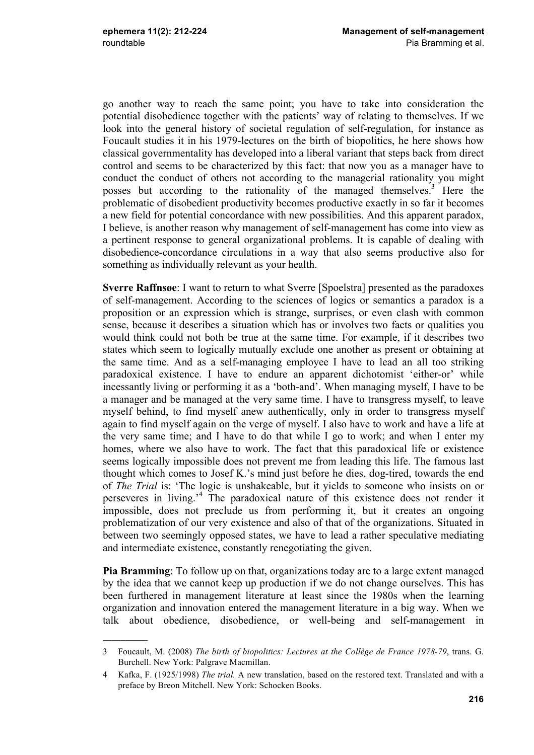$\frac{1}{2}$ 

go another way to reach the same point; you have to take into consideration the potential disobedience together with the patients' way of relating to themselves. If we look into the general history of societal regulation of self-regulation, for instance as Foucault studies it in his 1979-lectures on the birth of biopolitics, he here shows how classical governmentality has developed into a liberal variant that steps back from direct control and seems to be characterized by this fact: that now you as a manager have to conduct the conduct of others not according to the managerial rationality you might posses but according to the rationality of the managed themselves.<sup>3</sup> Here the problematic of disobedient productivity becomes productive exactly in so far it becomes a new field for potential concordance with new possibilities. And this apparent paradox, I believe, is another reason why management of self-management has come into view as a pertinent response to general organizational problems. It is capable of dealing with disobedience-concordance circulations in a way that also seems productive also for something as individually relevant as your health.

**Sverre Raffnsøe**: I want to return to what Sverre [Spoelstra] presented as the paradoxes of self-management. According to the sciences of logics or semantics a paradox is a proposition or an expression which is strange, surprises, or even clash with common sense, because it describes a situation which has or involves two facts or qualities you would think could not both be true at the same time. For example, if it describes two states which seem to logically mutually exclude one another as present or obtaining at the same time. And as a self-managing employee I have to lead an all too striking paradoxical existence. I have to endure an apparent dichotomist 'either-or' while incessantly living or performing it as a 'both-and'. When managing myself, I have to be a manager and be managed at the very same time. I have to transgress myself, to leave myself behind, to find myself anew authentically, only in order to transgress myself again to find myself again on the verge of myself. I also have to work and have a life at the very same time; and I have to do that while I go to work; and when I enter my homes, where we also have to work. The fact that this paradoxical life or existence seems logically impossible does not prevent me from leading this life. The famous last thought which comes to Josef K.'s mind just before he dies, dog-tired, towards the end of *The Trial* is: 'The logic is unshakeable, but it yields to someone who insists on or perseveres in living.' <sup>4</sup> The paradoxical nature of this existence does not render it impossible, does not preclude us from performing it, but it creates an ongoing problematization of our very existence and also of that of the organizations. Situated in between two seemingly opposed states, we have to lead a rather speculative mediating and intermediate existence, constantly renegotiating the given.

**Pia Bramming**: To follow up on that, organizations today are to a large extent managed by the idea that we cannot keep up production if we do not change ourselves. This has been furthered in management literature at least since the 1980s when the learning organization and innovation entered the management literature in a big way. When we talk about obedience, disobedience, or well-being and self-management in

<sup>3</sup> Foucault, M. (2008) *The birth of biopolitics: Lectures at the Collège de France 1978-79*, trans. G. Burchell. New York: Palgrave Macmillan.

<sup>4</sup> Kafka, F. (1925/1998) *The trial.* A new translation, based on the restored text. Translated and with a preface by Breon Mitchell. New York: Schocken Books.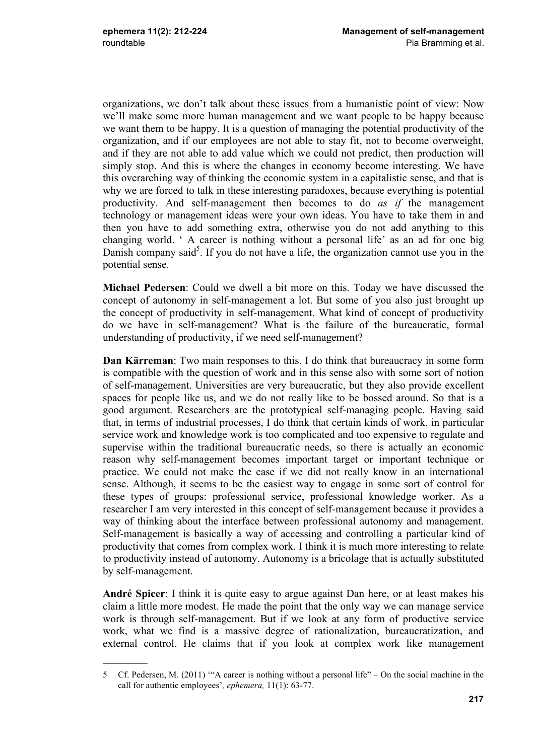organizations, we don't talk about these issues from a humanistic point of view: Now we'll make some more human management and we want people to be happy because we want them to be happy. It is a question of managing the potential productivity of the organization, and if our employees are not able to stay fit, not to become overweight, and if they are not able to add value which we could not predict, then production will simply stop. And this is where the changes in economy become interesting. We have this overarching way of thinking the economic system in a capitalistic sense, and that is why we are forced to talk in these interesting paradoxes, because everything is potential productivity. And self-management then becomes to do *as if* the management technology or management ideas were your own ideas. You have to take them in and then you have to add something extra, otherwise you do not add anything to this changing world. ' A career is nothing without a personal life' as an ad for one big Danish company said<sup>5</sup>. If you do not have a life, the organization cannot use you in the potential sense.

**Michael Pedersen**: Could we dwell a bit more on this. Today we have discussed the concept of autonomy in self-management a lot. But some of you also just brought up the concept of productivity in self-management. What kind of concept of productivity do we have in self-management? What is the failure of the bureaucratic, formal understanding of productivity, if we need self-management?

**Dan Kärreman**: Two main responses to this. I do think that bureaucracy in some form is compatible with the question of work and in this sense also with some sort of notion of self-management. Universities are very bureaucratic, but they also provide excellent spaces for people like us, and we do not really like to be bossed around. So that is a good argument. Researchers are the prototypical self-managing people. Having said that, in terms of industrial processes, I do think that certain kinds of work, in particular service work and knowledge work is too complicated and too expensive to regulate and supervise within the traditional bureaucratic needs, so there is actually an economic reason why self-management becomes important target or important technique or practice. We could not make the case if we did not really know in an international sense. Although, it seems to be the easiest way to engage in some sort of control for these types of groups: professional service, professional knowledge worker. As a researcher I am very interested in this concept of self-management because it provides a way of thinking about the interface between professional autonomy and management. Self-management is basically a way of accessing and controlling a particular kind of productivity that comes from complex work. I think it is much more interesting to relate to productivity instead of autonomy. Autonomy is a bricolage that is actually substituted by self-management.

**André Spicer**: I think it is quite easy to argue against Dan here, or at least makes his claim a little more modest. He made the point that the only way we can manage service work is through self-management. But if we look at any form of productive service work, what we find is a massive degree of rationalization, bureaucratization, and external control. He claims that if you look at complex work like management

<sup>5</sup> Cf. Pedersen, M. (2011) '"A career is nothing without a personal life" – On the social machine in the call for authentic employees'*, ephemera,* 11(1): 63-77.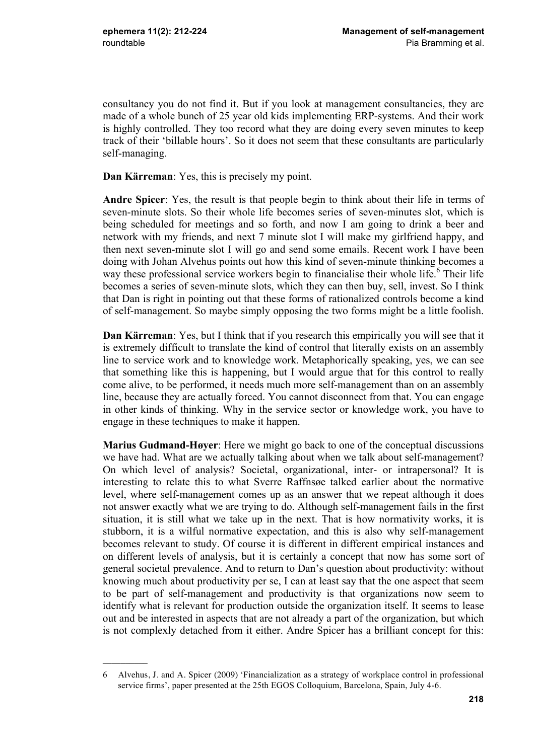$\mathcal{L}$ 

consultancy you do not find it. But if you look at management consultancies, they are made of a whole bunch of 25 year old kids implementing ERP-systems. And their work is highly controlled. They too record what they are doing every seven minutes to keep track of their 'billable hours'. So it does not seem that these consultants are particularly self-managing.

**Dan Kärreman**: Yes, this is precisely my point.

**Andre Spicer**: Yes, the result is that people begin to think about their life in terms of seven-minute slots. So their whole life becomes series of seven-minutes slot, which is being scheduled for meetings and so forth, and now I am going to drink a beer and network with my friends, and next 7 minute slot I will make my girlfriend happy, and then next seven-minute slot I will go and send some emails. Recent work I have been doing with Johan Alvehus points out how this kind of seven-minute thinking becomes a way these professional service workers begin to financialise their whole life.<sup>6</sup> Their life becomes a series of seven-minute slots, which they can then buy, sell, invest. So I think that Dan is right in pointing out that these forms of rationalized controls become a kind of self-management. So maybe simply opposing the two forms might be a little foolish.

**Dan Kärreman**: Yes, but I think that if you research this empirically you will see that it is extremely difficult to translate the kind of control that literally exists on an assembly line to service work and to knowledge work. Metaphorically speaking, yes, we can see that something like this is happening, but I would argue that for this control to really come alive, to be performed, it needs much more self-management than on an assembly line, because they are actually forced. You cannot disconnect from that. You can engage in other kinds of thinking. Why in the service sector or knowledge work, you have to engage in these techniques to make it happen.

**Marius Gudmand-Høyer**: Here we might go back to one of the conceptual discussions we have had. What are we actually talking about when we talk about self-management? On which level of analysis? Societal, organizational, inter- or intrapersonal? It is interesting to relate this to what Sverre Raffnsøe talked earlier about the normative level, where self-management comes up as an answer that we repeat although it does not answer exactly what we are trying to do. Although self-management fails in the first situation, it is still what we take up in the next. That is how normativity works, it is stubborn, it is a wilful normative expectation, and this is also why self-management becomes relevant to study. Of course it is different in different empirical instances and on different levels of analysis, but it is certainly a concept that now has some sort of general societal prevalence. And to return to Dan's question about productivity: without knowing much about productivity per se, I can at least say that the one aspect that seem to be part of self-management and productivity is that organizations now seem to identify what is relevant for production outside the organization itself. It seems to lease out and be interested in aspects that are not already a part of the organization, but which is not complexly detached from it either. Andre Spicer has a brilliant concept for this:

<sup>6</sup> Alvehus, J. and A. Spicer (2009) 'Financialization as a strategy of workplace control in professional service firms', paper presented at the 25th EGOS Colloquium, Barcelona, Spain, July 4-6.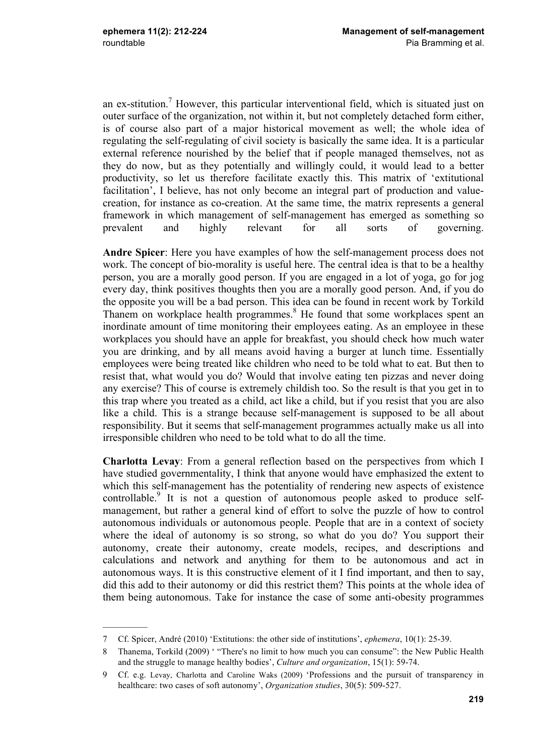$\mathcal{L}$ 

an ex-stitution.<sup>7</sup> However, this particular interventional field, which is situated just on outer surface of the organization, not within it, but not completely detached form either, is of course also part of a major historical movement as well; the whole idea of regulating the self-regulating of civil society is basically the same idea. It is a particular external reference nourished by the belief that if people managed themselves, not as they do now, but as they potentially and willingly could, it would lead to a better productivity, so let us therefore facilitate exactly this. This matrix of 'extitutional facilitation', I believe, has not only become an integral part of production and valuecreation, for instance as co-creation. At the same time, the matrix represents a general framework in which management of self-management has emerged as something so prevalent and highly relevant for all sorts of governing.

**Andre Spicer**: Here you have examples of how the self-management process does not work. The concept of bio-morality is useful here. The central idea is that to be a healthy person, you are a morally good person. If you are engaged in a lot of yoga, go for jog every day, think positives thoughts then you are a morally good person. And, if you do the opposite you will be a bad person. This idea can be found in recent work by Torkild Thanem on workplace health programmes.<sup>8</sup> He found that some workplaces spent an inordinate amount of time monitoring their employees eating. As an employee in these workplaces you should have an apple for breakfast, you should check how much water you are drinking, and by all means avoid having a burger at lunch time. Essentially employees were being treated like children who need to be told what to eat. But then to resist that, what would you do? Would that involve eating ten pizzas and never doing any exercise? This of course is extremely childish too. So the result is that you get in to this trap where you treated as a child, act like a child, but if you resist that you are also like a child. This is a strange because self-management is supposed to be all about responsibility. But it seems that self-management programmes actually make us all into irresponsible children who need to be told what to do all the time.

**Charlotta Levay**: From a general reflection based on the perspectives from which I have studied governmentality, I think that anyone would have emphasized the extent to which this self-management has the potentiality of rendering new aspects of existence controllable.<sup>9</sup> It is not a question of autonomous people asked to produce selfmanagement, but rather a general kind of effort to solve the puzzle of how to control autonomous individuals or autonomous people. People that are in a context of society where the ideal of autonomy is so strong, so what do you do? You support their autonomy, create their autonomy, create models, recipes, and descriptions and calculations and network and anything for them to be autonomous and act in autonomous ways. It is this constructive element of it I find important, and then to say, did this add to their autonomy or did this restrict them? This points at the whole idea of them being autonomous. Take for instance the case of some anti-obesity programmes

<sup>7</sup> Cf. Spicer, André (2010) 'Extitutions: the other side of institutions', *ephemera*, 10(1): 25-39.

<sup>8</sup> Thanema, Torkild (2009) ' "There's no limit to how much you can consume": the New Public Health and the struggle to manage healthy bodies', *Culture and organization*, 15(1): 59-74.

<sup>9</sup> Cf. e.g. Levay, Charlotta and Caroline Waks (2009) 'Professions and the pursuit of transparency in healthcare: two cases of soft autonomy', *Organization studies*, 30(5): 509-527.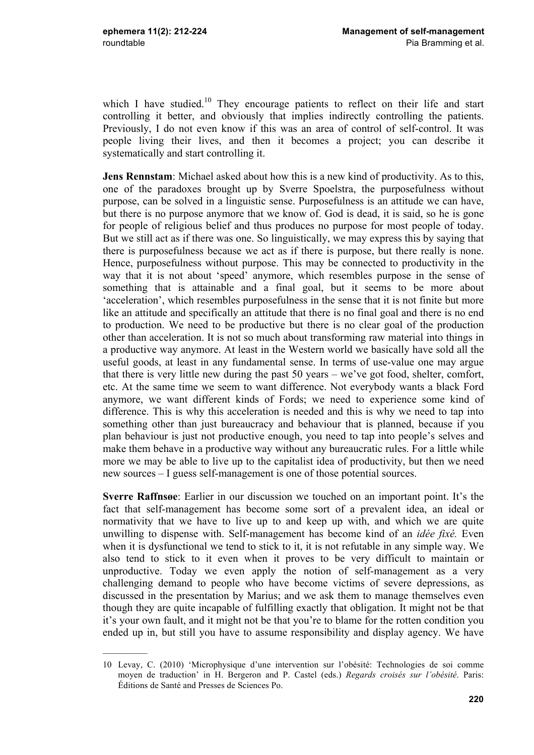which I have studied.<sup>10</sup> They encourage patients to reflect on their life and start controlling it better, and obviously that implies indirectly controlling the patients. Previously, I do not even know if this was an area of control of self-control. It was people living their lives, and then it becomes a project; you can describe it systematically and start controlling it.

**Jens Rennstam**: Michael asked about how this is a new kind of productivity. As to this, one of the paradoxes brought up by Sverre Spoelstra, the purposefulness without purpose, can be solved in a linguistic sense. Purposefulness is an attitude we can have, but there is no purpose anymore that we know of. God is dead, it is said, so he is gone for people of religious belief and thus produces no purpose for most people of today. But we still act as if there was one. So linguistically, we may express this by saying that there is purposefulness because we act as if there is purpose, but there really is none. Hence, purposefulness without purpose. This may be connected to productivity in the way that it is not about 'speed' anymore, which resembles purpose in the sense of something that is attainable and a final goal, but it seems to be more about 'acceleration', which resembles purposefulness in the sense that it is not finite but more like an attitude and specifically an attitude that there is no final goal and there is no end to production. We need to be productive but there is no clear goal of the production other than acceleration. It is not so much about transforming raw material into things in a productive way anymore. At least in the Western world we basically have sold all the useful goods, at least in any fundamental sense. In terms of use-value one may argue that there is very little new during the past 50 years – we've got food, shelter, comfort, etc. At the same time we seem to want difference. Not everybody wants a black Ford anymore, we want different kinds of Fords; we need to experience some kind of difference. This is why this acceleration is needed and this is why we need to tap into something other than just bureaucracy and behaviour that is planned, because if you plan behaviour is just not productive enough, you need to tap into people's selves and make them behave in a productive way without any bureaucratic rules. For a little while more we may be able to live up to the capitalist idea of productivity, but then we need new sources – I guess self-management is one of those potential sources.

**Sverre Raffnsøe**: Earlier in our discussion we touched on an important point. It's the fact that self-management has become some sort of a prevalent idea, an ideal or normativity that we have to live up to and keep up with, and which we are quite unwilling to dispense with. Self-management has become kind of an *idée fixé.* Even when it is dysfunctional we tend to stick to it, it is not refutable in any simple way. We also tend to stick to it even when it proves to be very difficult to maintain or unproductive. Today we even apply the notion of self-management as a very challenging demand to people who have become victims of severe depressions, as discussed in the presentation by Marius; and we ask them to manage themselves even though they are quite incapable of fulfilling exactly that obligation. It might not be that it's your own fault, and it might not be that you're to blame for the rotten condition you ended up in, but still you have to assume responsibility and display agency. We have

<sup>10</sup> Levay, C. (2010) 'Microphysique d'une intervention sur l'obésité: Technologies de soi comme moyen de traduction' in H. Bergeron and P. Castel (eds.) *Regards croisés sur l'obésité*. Paris: Éditions de Santé and Presses de Sciences Po.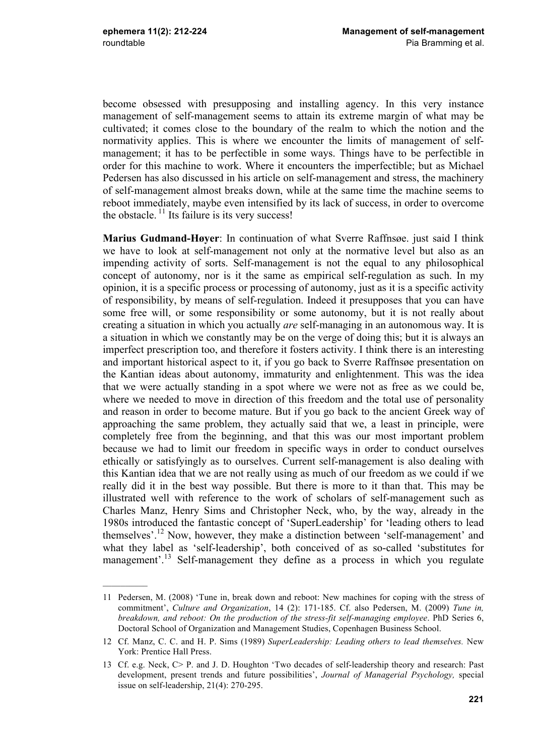$\frac{1}{2}$ 

become obsessed with presupposing and installing agency. In this very instance management of self-management seems to attain its extreme margin of what may be cultivated; it comes close to the boundary of the realm to which the notion and the normativity applies. This is where we encounter the limits of management of selfmanagement; it has to be perfectible in some ways. Things have to be perfectible in order for this machine to work. Where it encounters the imperfectible; but as Michael Pedersen has also discussed in his article on self-management and stress, the machinery of self-management almost breaks down, while at the same time the machine seems to reboot immediately, maybe even intensified by its lack of success, in order to overcome the obstacle.  $\frac{11}{11}$  Its failure is its very success!

**Marius Gudmand-Høyer**: In continuation of what Sverre Raffnsøe. just said I think we have to look at self-management not only at the normative level but also as an impending activity of sorts. Self-management is not the equal to any philosophical concept of autonomy, nor is it the same as empirical self-regulation as such. In my opinion, it is a specific process or processing of autonomy, just as it is a specific activity of responsibility, by means of self-regulation. Indeed it presupposes that you can have some free will, or some responsibility or some autonomy, but it is not really about creating a situation in which you actually *are* self-managing in an autonomous way. It is a situation in which we constantly may be on the verge of doing this; but it is always an imperfect prescription too, and therefore it fosters activity. I think there is an interesting and important historical aspect to it, if you go back to Sverre Raffnsøe presentation on the Kantian ideas about autonomy, immaturity and enlightenment. This was the idea that we were actually standing in a spot where we were not as free as we could be, where we needed to move in direction of this freedom and the total use of personality and reason in order to become mature. But if you go back to the ancient Greek way of approaching the same problem, they actually said that we, a least in principle, were completely free from the beginning, and that this was our most important problem because we had to limit our freedom in specific ways in order to conduct ourselves ethically or satisfyingly as to ourselves. Current self-management is also dealing with this Kantian idea that we are not really using as much of our freedom as we could if we really did it in the best way possible. But there is more to it than that. This may be illustrated well with reference to the work of scholars of self-management such as Charles Manz, Henry Sims and Christopher Neck, who, by the way, already in the 1980s introduced the fantastic concept of 'SuperLeadership' for 'leading others to lead themselves'.12 Now, however, they make a distinction between 'self-management' and what they label as 'self-leadership', both conceived of as so-called 'substitutes for management'.<sup>13</sup> Self-management they define as a process in which you regulate

<sup>11</sup> Pedersen, M. (2008) 'Tune in, break down and reboot: New machines for coping with the stress of commitment', *Culture and Organization*, 14 (2): 171-185. Cf. also Pedersen, M. (2009) *Tune in, breakdown, and reboot: On the production of the stress-fit self-managing employee*. PhD Series 6, Doctoral School of Organization and Management Studies, Copenhagen Business School.

<sup>12</sup> Cf. Manz, C. C. and H. P. Sims (1989) *SuperLeadership: Leading others to lead themselves.* New York: Prentice Hall Press.

<sup>13</sup> Cf. e.g. Neck, C> P. and J. D. Houghton 'Two decades of self-leadership theory and research: Past development, present trends and future possibilities', *Journal of Managerial Psychology,* special issue on self-leadership, 21(4): 270-295.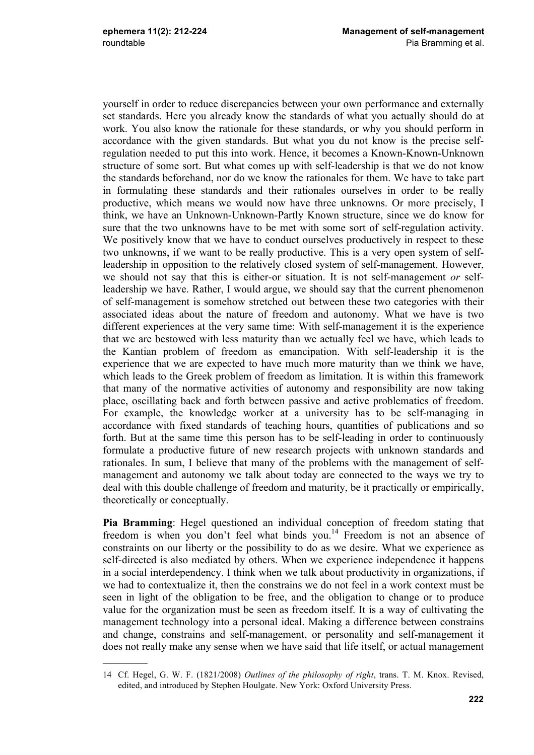yourself in order to reduce discrepancies between your own performance and externally set standards. Here you already know the standards of what you actually should do at work. You also know the rationale for these standards, or why you should perform in accordance with the given standards. But what you du not know is the precise selfregulation needed to put this into work. Hence, it becomes a Known-Known-Unknown structure of some sort. But what comes up with self-leadership is that we do not know the standards beforehand, nor do we know the rationales for them. We have to take part in formulating these standards and their rationales ourselves in order to be really productive, which means we would now have three unknowns. Or more precisely, I think, we have an Unknown-Unknown-Partly Known structure, since we do know for sure that the two unknowns have to be met with some sort of self-regulation activity. We positively know that we have to conduct ourselves productively in respect to these two unknowns, if we want to be really productive. This is a very open system of selfleadership in opposition to the relatively closed system of self-management. However, we should not say that this is either-or situation. It is not self-management *or* selfleadership we have. Rather, I would argue, we should say that the current phenomenon of self-management is somehow stretched out between these two categories with their associated ideas about the nature of freedom and autonomy. What we have is two different experiences at the very same time: With self-management it is the experience that we are bestowed with less maturity than we actually feel we have, which leads to the Kantian problem of freedom as emancipation. With self-leadership it is the experience that we are expected to have much more maturity than we think we have, which leads to the Greek problem of freedom as limitation. It is within this framework that many of the normative activities of autonomy and responsibility are now taking place, oscillating back and forth between passive and active problematics of freedom. For example, the knowledge worker at a university has to be self-managing in accordance with fixed standards of teaching hours, quantities of publications and so forth. But at the same time this person has to be self-leading in order to continuously formulate a productive future of new research projects with unknown standards and rationales. In sum, I believe that many of the problems with the management of selfmanagement and autonomy we talk about today are connected to the ways we try to deal with this double challenge of freedom and maturity, be it practically or empirically, theoretically or conceptually.

**Pia Bramming**: Hegel questioned an individual conception of freedom stating that freedom is when you don't feel what binds you.<sup>14</sup> Freedom is not an absence of constraints on our liberty or the possibility to do as we desire. What we experience as self-directed is also mediated by others. When we experience independence it happens in a social interdependency. I think when we talk about productivity in organizations, if we had to contextualize it, then the constrains we do not feel in a work context must be seen in light of the obligation to be free, and the obligation to change or to produce value for the organization must be seen as freedom itself. It is a way of cultivating the management technology into a personal ideal. Making a difference between constrains and change, constrains and self-management, or personality and self-management it does not really make any sense when we have said that life itself, or actual management

<sup>14</sup> Cf. Hegel, G. W. F. (1821/2008) *Outlines of the philosophy of right*, trans. T. M. Knox. Revised, edited, and introduced by Stephen Houlgate. New York: Oxford University Press.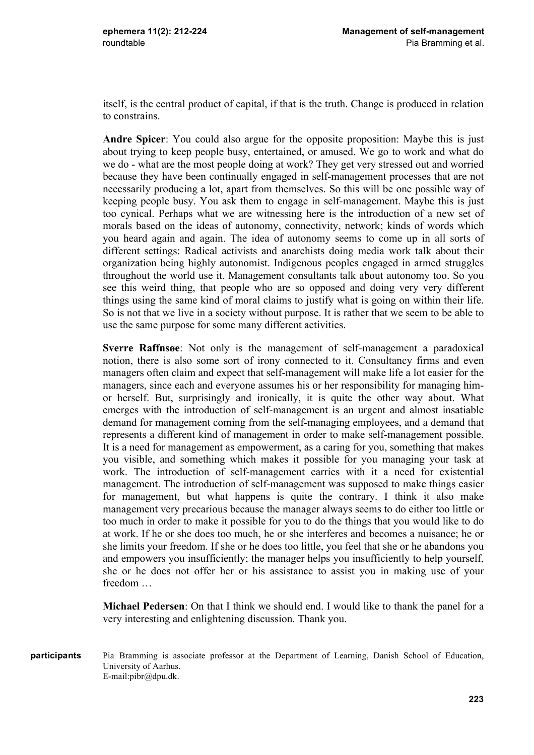itself, is the central product of capital, if that is the truth. Change is produced in relation to constrains.

**Andre Spicer**: You could also argue for the opposite proposition: Maybe this is just about trying to keep people busy, entertained, or amused. We go to work and what do we do - what are the most people doing at work? They get very stressed out and worried because they have been continually engaged in self-management processes that are not necessarily producing a lot, apart from themselves. So this will be one possible way of keeping people busy. You ask them to engage in self-management. Maybe this is just too cynical. Perhaps what we are witnessing here is the introduction of a new set of morals based on the ideas of autonomy, connectivity, network; kinds of words which you heard again and again. The idea of autonomy seems to come up in all sorts of different settings: Radical activists and anarchists doing media work talk about their organization being highly autonomist. Indigenous peoples engaged in armed struggles throughout the world use it. Management consultants talk about autonomy too. So you see this weird thing, that people who are so opposed and doing very very different things using the same kind of moral claims to justify what is going on within their life. So is not that we live in a society without purpose. It is rather that we seem to be able to use the same purpose for some many different activities.

**Sverre Raffnsøe**: Not only is the management of self-management a paradoxical notion, there is also some sort of irony connected to it. Consultancy firms and even managers often claim and expect that self-management will make life a lot easier for the managers, since each and everyone assumes his or her responsibility for managing himor herself. But, surprisingly and ironically, it is quite the other way about. What emerges with the introduction of self-management is an urgent and almost insatiable demand for management coming from the self-managing employees, and a demand that represents a different kind of management in order to make self-management possible. It is a need for management as empowerment, as a caring for you, something that makes you visible, and something which makes it possible for you managing your task at work. The introduction of self-management carries with it a need for existential management. The introduction of self-management was supposed to make things easier for management, but what happens is quite the contrary. I think it also make management very precarious because the manager always seems to do either too little or too much in order to make it possible for you to do the things that you would like to do at work. If he or she does too much, he or she interferes and becomes a nuisance; he or she limits your freedom. If she or he does too little, you feel that she or he abandons you and empowers you insufficiently; the manager helps you insufficiently to help yourself, she or he does not offer her or his assistance to assist you in making use of your freedom …

**Michael Pedersen**: On that I think we should end. I would like to thank the panel for a very interesting and enlightening discussion. Thank you.

Pia Bramming is associate professor at the Department of Learning, Danish School of Education, University of Aarhus. E-mail:pibr@dpu.dk. **participants**